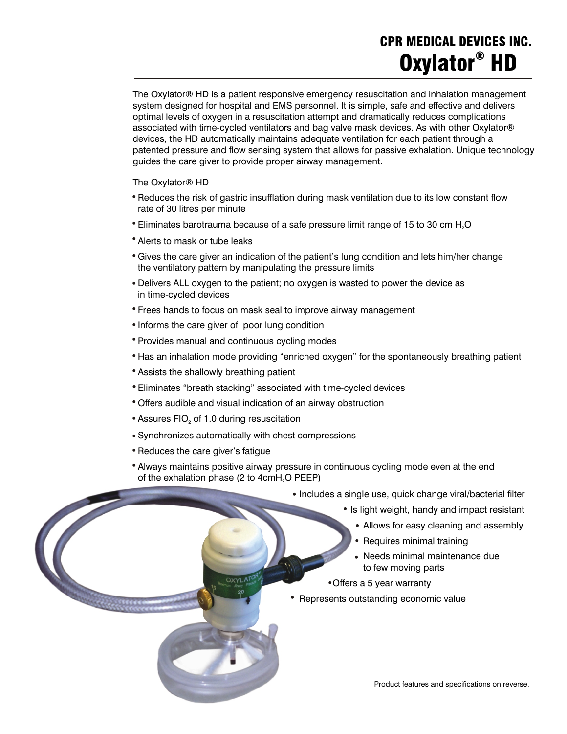### **CPR MEDICAL DEVICES INC. Oxylator**<sup>®</sup> HD

The Oxylator® HD is a patient responsive emergency resuscitation and inhalation management system designed for hospital and EMS personnel. It is simple, safe and effective and delivers optimal levels of oxygen in a resuscitation attempt and dramatically reduces complications associated with time-cycled ventilators and bag valve mask devices. As with other Oxylator® devices, the HD automatically maintains adequate ventilation for each patient through a patented pressure and flow sensing system that allows for passive exhalation. Unique technology guides the care giver to provide proper airway management.

The Oxylator® HD

- Reduces the risk of gastric insufflation during mask ventilation due to its low constant flow rate of 30 litres per minute ·
- $\bullet$  Eliminates barotrauma because of a safe pressure limit range of 15 to 30 cm H<sub>2</sub>O ·
- Alerts to mask or tube leaks ·
- Gives the care giver an indication of the patient's lung condition and lets him/her change the ventilatory pattern by manipulating the pressure limits ·<br>·<br>·
- Delivers ALL oxygen to the patient; no oxygen is wasted to power the device as in time-cycled devices ·
- Frees hands to focus on mask seal to improve airway management ·
- Informs the care giver of poor lung condition ·
- Provides manual and continuous cycling modes ·
- Has an inhalation mode providing "enriched oxygen" for the spontaneously breathing patient ·
- Assists the shallowly breathing patient ·
- Eliminates "breath stacking" associated with time-cycled devices ،<br>ا•
- Offers audible and visual indication of an airway obstruction ·
- $\bullet$  Assures FIO $_2$  of 1.0 during resuscitation ·
- Synchronizes automatically with chest compressions
- Synchronizes automatically with<br>• Reduces the care giver's fatigue ·
- Always maintains positive airway pressure in continuous cycling mode even at the end of the exhalation phase (2 to  $4$ cm $H<sub>2</sub>O$  PEEP) ·
- Includes a single use, quick change viral/bacterial filter ·
- **IS light weight, handy and impact resistant** ·<br>·<br>·
- Allows for easy cleaning and assembly ·
	- Requires minimal training
- Requires minimal training<br>
Needs minimal maintenance due to few moving parts ·
	- Offers a 5 year warranty
- e for moving parts<br>
 Offers a 5 year warranty<br>
 Represents outstanding economic value ·